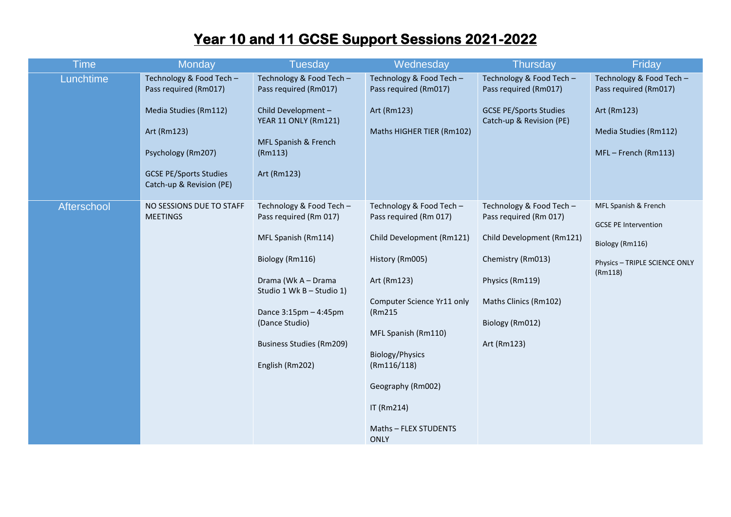## **Year 10 and 11 GCSE Support Sessions 2021-2022**

| <b>Time</b> | <b>Monday</b>                                                                                                                                                                | <b>Tuesday</b>                                                                                                                                                                                                                                    | Wednesday                                                                                                                                                                                                                                                                              | <b>Thursday</b>                                                                                                                                                                    | Friday                                                                                                             |
|-------------|------------------------------------------------------------------------------------------------------------------------------------------------------------------------------|---------------------------------------------------------------------------------------------------------------------------------------------------------------------------------------------------------------------------------------------------|----------------------------------------------------------------------------------------------------------------------------------------------------------------------------------------------------------------------------------------------------------------------------------------|------------------------------------------------------------------------------------------------------------------------------------------------------------------------------------|--------------------------------------------------------------------------------------------------------------------|
| Lunchtime   | Technology & Food Tech -<br>Pass required (Rm017)<br>Media Studies (Rm112)<br>Art (Rm123)<br>Psychology (Rm207)<br><b>GCSE PE/Sports Studies</b><br>Catch-up & Revision (PE) | Technology & Food Tech -<br>Pass required (Rm017)<br>Child Development -<br>YEAR 11 ONLY (Rm121)<br>MFL Spanish & French<br>(Rm113)<br>Art (Rm123)                                                                                                | Technology & Food Tech -<br>Pass required (Rm017)<br>Art (Rm123)<br>Maths HIGHER TIER (Rm102)                                                                                                                                                                                          | Technology & Food Tech -<br>Pass required (Rm017)<br><b>GCSE PE/Sports Studies</b><br>Catch-up & Revision (PE)                                                                     | Technology & Food Tech -<br>Pass required (Rm017)<br>Art (Rm123)<br>Media Studies (Rm112)<br>MFL-French (Rm113)    |
| Afterschool | NO SESSIONS DUE TO STAFF<br><b>MEETINGS</b>                                                                                                                                  | Technology & Food Tech -<br>Pass required (Rm 017)<br>MFL Spanish (Rm114)<br>Biology (Rm116)<br>Drama (Wk A - Drama<br>Studio 1 Wk B - Studio 1)<br>Dance 3:15pm - 4:45pm<br>(Dance Studio)<br><b>Business Studies (Rm209)</b><br>English (Rm202) | Technology & Food Tech -<br>Pass required (Rm 017)<br>Child Development (Rm121)<br>History (Rm005)<br>Art (Rm123)<br>Computer Science Yr11 only<br>(Rm215<br>MFL Spanish (Rm110)<br>Biology/Physics<br>(Rm116/118)<br>Geography (Rm002)<br>IT (Rm214)<br>Maths - FLEX STUDENTS<br>ONLY | Technology & Food Tech -<br>Pass required (Rm 017)<br>Child Development (Rm121)<br>Chemistry (Rm013)<br>Physics (Rm119)<br>Maths Clinics (Rm102)<br>Biology (Rm012)<br>Art (Rm123) | MFL Spanish & French<br><b>GCSE PE Intervention</b><br>Biology (Rm116)<br>Physics - TRIPLE SCIENCE ONLY<br>(Rm118) |